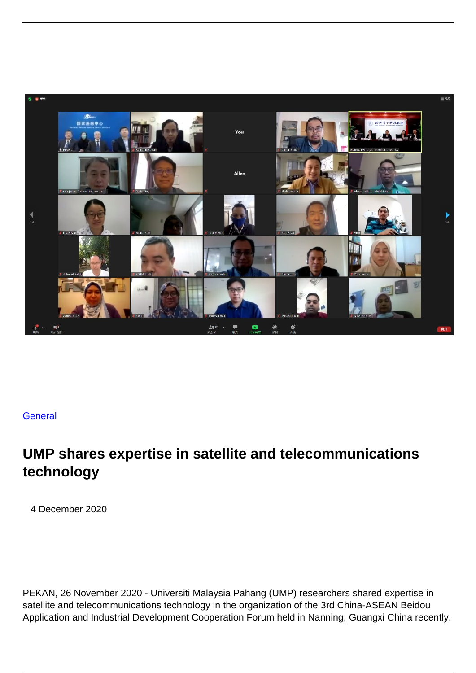

## **[General](/index.php/general)**

## **UMP shares expertise in satellite and telecommunications technology**

4 December 2020

PEKAN, 26 November 2020 - Universiti Malaysia Pahang (UMP) researchers shared expertise in satellite and telecommunications technology in the organization of the 3rd China-ASEAN Beidou Application and Industrial Development Cooperation Forum held in Nanning, Guangxi China recently.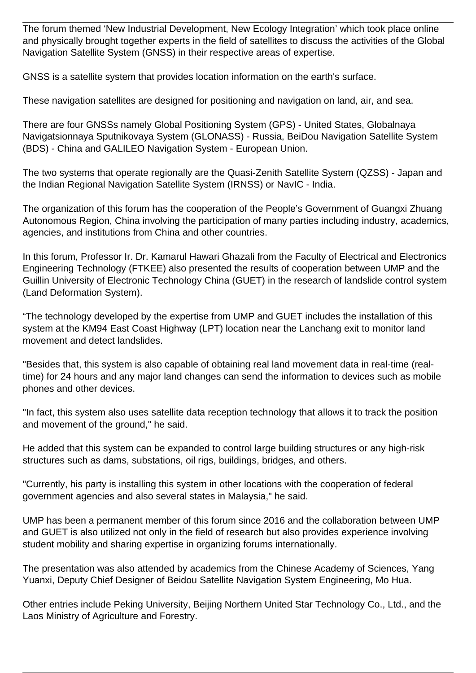The forum themed 'New Industrial Development, New Ecology Integration' which took place online and physically brought together experts in the field of satellites to discuss the activities of the Global Navigation Satellite System (GNSS) in their respective areas of expertise.

GNSS is a satellite system that provides location information on the earth's surface.

These navigation satellites are designed for positioning and navigation on land, air, and sea.

There are four GNSSs namely Global Positioning System (GPS) - United States, Globalnaya Navigatsionnaya Sputnikovaya System (GLONASS) - Russia, BeiDou Navigation Satellite System (BDS) - China and GALILEO Navigation System - European Union.

The two systems that operate regionally are the Quasi-Zenith Satellite System (QZSS) - Japan and the Indian Regional Navigation Satellite System (IRNSS) or NavIC - India.

The organization of this forum has the cooperation of the People's Government of Guangxi Zhuang Autonomous Region, China involving the participation of many parties including industry, academics, agencies, and institutions from China and other countries.

In this forum, Professor Ir. Dr. Kamarul Hawari Ghazali from the Faculty of Electrical and Electronics Engineering Technology (FTKEE) also presented the results of cooperation between UMP and the Guillin University of Electronic Technology China (GUET) in the research of landslide control system (Land Deformation System).

"The technology developed by the expertise from UMP and GUET includes the installation of this system at the KM94 East Coast Highway (LPT) location near the Lanchang exit to monitor land movement and detect landslides.

"Besides that, this system is also capable of obtaining real land movement data in real-time (realtime) for 24 hours and any major land changes can send the information to devices such as mobile phones and other devices.

"In fact, this system also uses satellite data reception technology that allows it to track the position and movement of the ground," he said.

He added that this system can be expanded to control large building structures or any high-risk structures such as dams, substations, oil rigs, buildings, bridges, and others.

"Currently, his party is installing this system in other locations with the cooperation of federal government agencies and also several states in Malaysia," he said.

UMP has been a permanent member of this forum since 2016 and the collaboration between UMP and GUET is also utilized not only in the field of research but also provides experience involving student mobility and sharing expertise in organizing forums internationally.

The presentation was also attended by academics from the Chinese Academy of Sciences, Yang Yuanxi, Deputy Chief Designer of Beidou Satellite Navigation System Engineering, Mo Hua.

Other entries include Peking University, Beijing Northern United Star Technology Co., Ltd., and the Laos Ministry of Agriculture and Forestry.